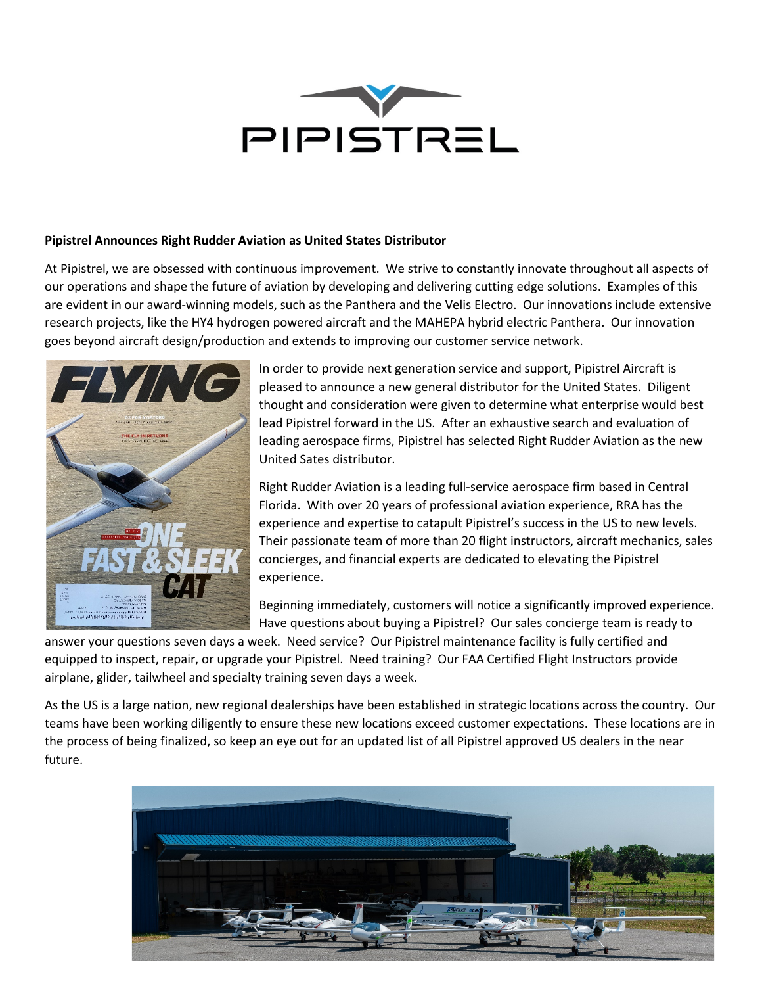

## **Pipistrel Announces Right Rudder Aviation as United States Distributor**

At Pipistrel, we are obsessed with continuous improvement. We strive to constantly innovate throughout all aspects of our operations and shape the future of aviation by developing and delivering cutting edge solutions. Examples of this are evident in our award-winning models, such as the Panthera and the Velis Electro. Our innovations include extensive research projects, like the HY4 hydrogen powered aircraft and the MAHEPA hybrid electric Panthera. Our innovation goes beyond aircraft design/production and extends to improving our customer service network.



In order to provide next generation service and support, Pipistrel Aircraft is pleased to announce a new general distributor for the United States. Diligent thought and consideration were given to determine what enterprise would best lead Pipistrel forward in the US. After an exhaustive search and evaluation of leading aerospace firms, Pipistrel has selected Right Rudder Aviation as the new United Sates distributor.

Right Rudder Aviation is a leading full-service aerospace firm based in Central Florida. With over 20 years of professional aviation experience, RRA has the experience and expertise to catapult Pipistrel's success in the US to new levels. Their passionate team of more than 20 flight instructors, aircraft mechanics, sales concierges, and financial experts are dedicated to elevating the Pipistrel experience.

Beginning immediately, customers will notice a significantly improved experience. Have questions about buying a Pipistrel? Our sales concierge team is ready to

answer your questions seven days a week. Need service? Our Pipistrel maintenance facility is fully certified and equipped to inspect, repair, or upgrade your Pipistrel. Need training? Our FAA Certified Flight Instructors provide airplane, glider, tailwheel and specialty training seven days a week.

As the US is a large nation, new regional dealerships have been established in strategic locations across the country. Our teams have been working diligently to ensure these new locations exceed customer expectations. These locations are in the process of being finalized, so keep an eye out for an updated list of all Pipistrel approved US dealers in the near future.